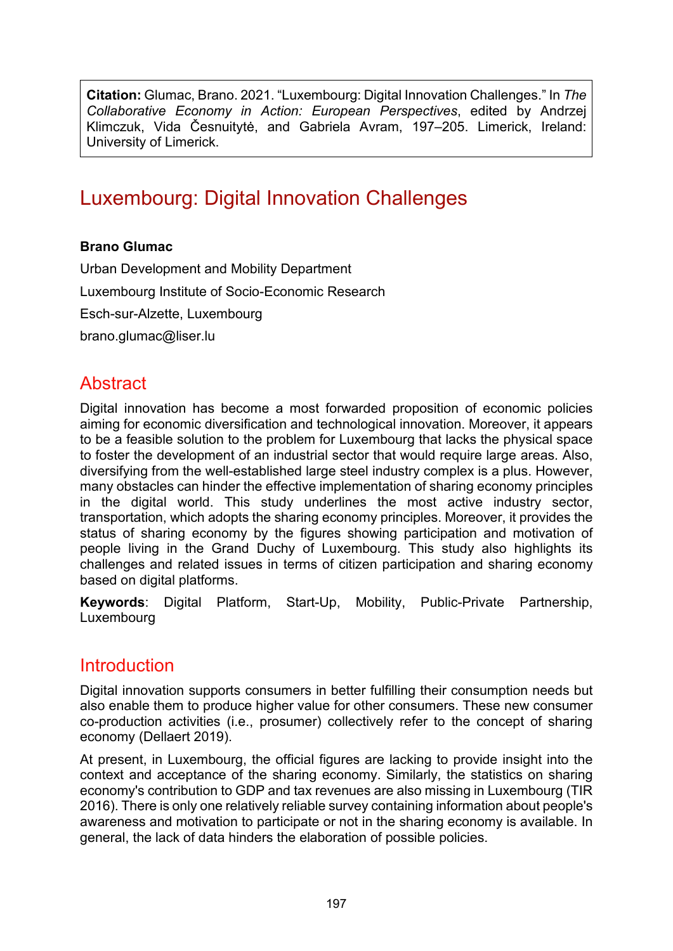**Citation:** Glumac, Brano. 2021. "Luxembourg: Digital Innovation Challenges." In *The Collaborative Economy in Action: European Perspectives*, edited by Andrzej Klimczuk, Vida Česnuitytė, and Gabriela Avram, 197–205. Limerick, Ireland: University of Limerick.

# Luxembourg: Digital Innovation Challenges

#### **Brano Glumac**

Urban Development and Mobility Department Luxembourg Institute of Socio-Economic Research Esch-sur-Alzette, Luxembourg [brano.glumac@liser.lu](mailto:brano.glumac@liser.lu)

### **Abstract**

Digital innovation has become a most forwarded proposition of economic policies aiming for economic diversification and technological innovation. Moreover, it appears to be a feasible solution to the problem for Luxembourg that lacks the physical space to foster the development of an industrial sector that would require large areas. Also, diversifying from the well-established large steel industry complex is a plus. However, many obstacles can hinder the effective implementation of sharing economy principles in the digital world. This study underlines the most active industry sector, transportation, which adopts the sharing economy principles. Moreover, it provides the status of sharing economy by the figures showing participation and motivation of people living in the Grand Duchy of Luxembourg. This study also highlights its challenges and related issues in terms of citizen participation and sharing economy based on digital platforms.

**Keywords**: Digital Platform, Start-Up, Mobility, Public-Private Partnership, Luxembourg

#### **Introduction**

Digital innovation supports consumers in better fulfilling their consumption needs but also enable them to produce higher value for other consumers. These new consumer co-production activities (i.e., prosumer) collectively refer to the concept of sharing economy (Dellaert 2019).

At present, in Luxembourg, the official figures are lacking to provide insight into the context and acceptance of the sharing economy. Similarly, the statistics on sharing economy's contribution to GDP and tax revenues are also missing in Luxembourg (TIR 2016). There is only one relatively reliable survey containing information about people's awareness and motivation to participate or not in the sharing economy is available. In general, the lack of data hinders the elaboration of possible policies.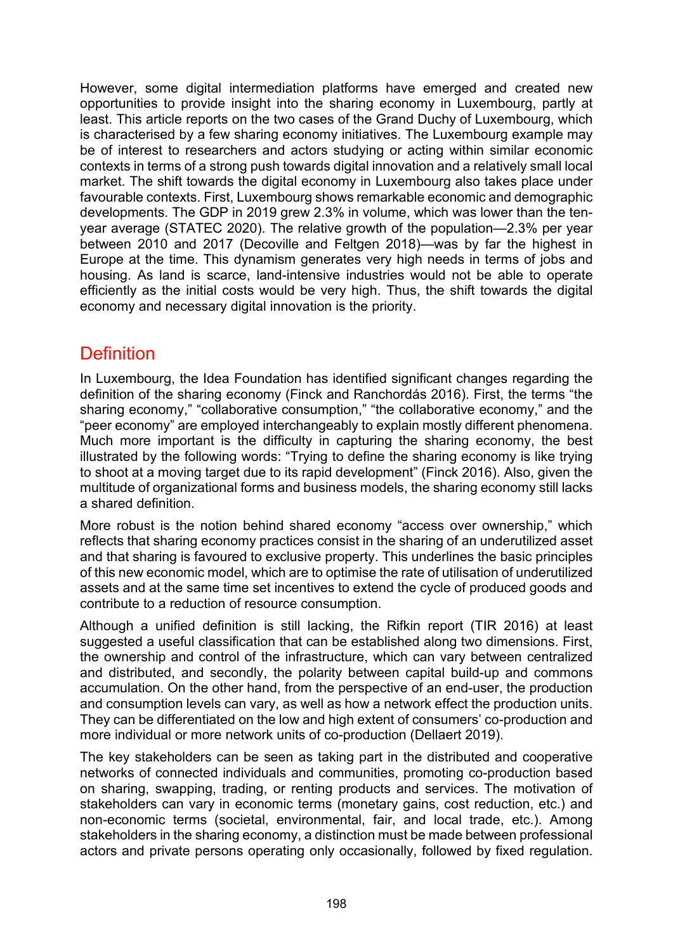However, some digital intermediation platforms have emerged and created new opportunities to provide insight into the sharing economy in Luxembourg, partly at least. This article reports on the two cases of the Grand Duchy of Luxembourg, which is characterised by a few sharing economy initiatives. The Luxembourg example may be of interest to researchers and actors studying or acting within similar economic contexts in terms of a strong push towards digital innovation and a relatively small local market. The shift towards the digital economy in Luxembourg also takes place under favourable contexts. First, Luxembourg shows remarkable economic and demographic developments. The GDP in 2019 grew 2.3% in volume, which was lower than the tenyear average (STATEC 2020). The relative growth of the population—2.3% per year between 2010 and 2017 (Decoville and Feltgen 2018)—was by far the highest in Europe at the time. This dynamism generates very high needs in terms of jobs and housing. As land is scarce, land-intensive industries would not be able to operate efficiently as the initial costs would be very high. Thus, the shift towards the digital economy and necessary digital innovation is the priority.

### **Definition**

In Luxembourg, the Idea Foundation has identified significant changes regarding the definition of the sharing economy (Finck and Ranchordás 2016). First, the terms "the sharing economy," "collaborative consumption," "the collaborative economy," and the "peer economy" are employed interchangeably to explain mostly different phenomena. Much more important is the difficulty in capturing the sharing economy, the best illustrated by the following words: "Trying to define the sharing economy is like trying to shoot at a moving target due to its rapid development" (Finck 2016). Also, given the multitude of organizational forms and business models, the sharing economy still lacks a shared definition.

More robust is the notion behind shared economy "access over ownership," which reflects that sharing economy practices consist in the sharing of an underutilized asset and that sharing is favoured to exclusive property. This underlines the basic principles of this new economic model, which are to optimise the rate of utilisation of underutilized assets and at the same time set incentives to extend the cycle of produced goods and contribute to a reduction of resource consumption.

Although a unified definition is still lacking, the Rifkin report (TIR 2016) at least suggested a useful classification that can be established along two dimensions. First, the ownership and control of the infrastructure, which can vary between centralized and distributed, and secondly, the polarity between capital build-up and commons accumulation. On the other hand, from the perspective of an end-user, the production and consumption levels can vary, as well as how a network effect the production units. They can be differentiated on the low and high extent of consumers' co-production and more individual or more network units of co-production (Dellaert 2019).

The key stakeholders can be seen as taking part in the distributed and cooperative networks of connected individuals and communities, promoting co-production based on sharing, swapping, trading, or renting products and services. The motivation of stakeholders can vary in economic terms (monetary gains, cost reduction, etc.) and non-economic terms (societal, environmental, fair, and local trade, etc.). Among stakeholders in the sharing economy, a distinction must be made between professional actors and private persons operating only occasionally, followed by fixed regulation.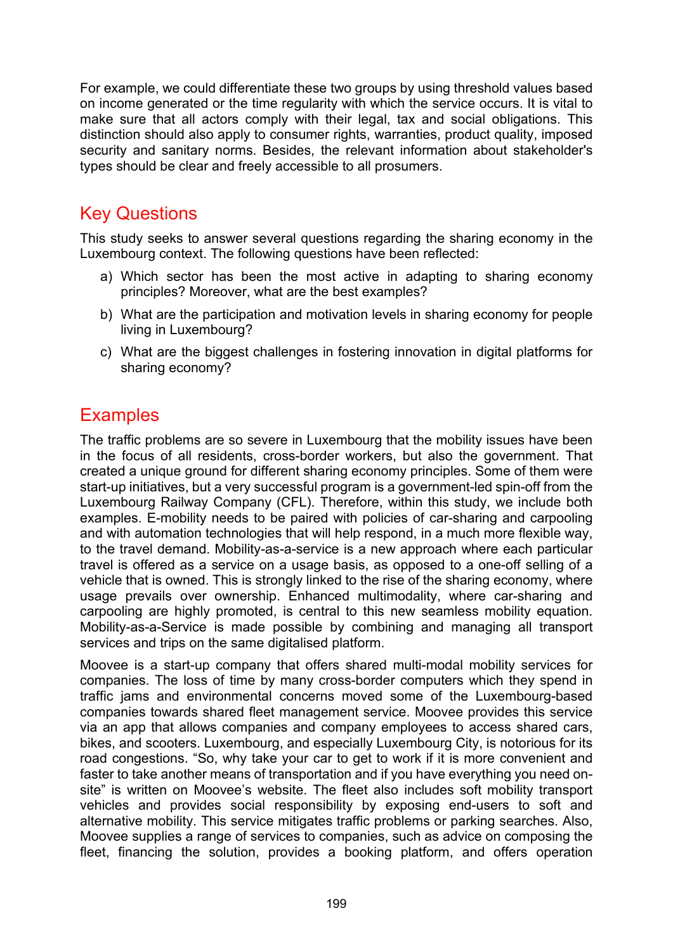For example, we could differentiate these two groups by using threshold values based on income generated or the time regularity with which the service occurs. It is vital to make sure that all actors comply with their legal, tax and social obligations. This distinction should also apply to consumer rights, warranties, product quality, imposed security and sanitary norms. Besides, the relevant information about stakeholder's types should be clear and freely accessible to all prosumers.

#### Key Questions

This study seeks to answer several questions regarding the sharing economy in the Luxembourg context. The following questions have been reflected:

- a) Which sector has been the most active in adapting to sharing economy principles? Moreover, what are the best examples?
- b) What are the participation and motivation levels in sharing economy for people living in Luxembourg?
- c) What are the biggest challenges in fostering innovation in digital platforms for sharing economy?

### **Examples**

The traffic problems are so severe in Luxembourg that the mobility issues have been in the focus of all residents, cross-border workers, but also the government. That created a unique ground for different sharing economy principles. Some of them were start-up initiatives, but a very successful program is a government-led spin-off from the Luxembourg Railway Company (CFL). Therefore, within this study, we include both examples. E-mobility needs to be paired with policies of car-sharing and carpooling and with automation technologies that will help respond, in a much more flexible way, to the travel demand. Mobility-as-a-service is a new approach where each particular travel is offered as a service on a usage basis, as opposed to a one-off selling of a vehicle that is owned. This is strongly linked to the rise of the sharing economy, where usage prevails over ownership. Enhanced multimodality, where car-sharing and carpooling are highly promoted, is central to this new seamless mobility equation. Mobility-as-a-Service is made possible by combining and managing all transport services and trips on the same digitalised platform.

Moovee is a start-up company that offers shared multi-modal mobility services for companies. The loss of time by many cross-border computers which they spend in traffic jams and environmental concerns moved some of the Luxembourg-based companies towards shared fleet management service. Moovee provides this service via an app that allows companies and company employees to access shared cars, bikes, and scooters. Luxembourg, and especially Luxembourg City, is notorious for its road congestions. "So, why take your car to get to work if it is more convenient and faster to take another means of transportation and if you have everything you need onsite" is written on Moovee's website. The fleet also includes soft mobility transport vehicles and provides social responsibility by exposing end-users to soft and alternative mobility. This service mitigates traffic problems or parking searches. Also, Moovee supplies a range of services to companies, such as advice on composing the fleet, financing the solution, provides a booking platform, and offers operation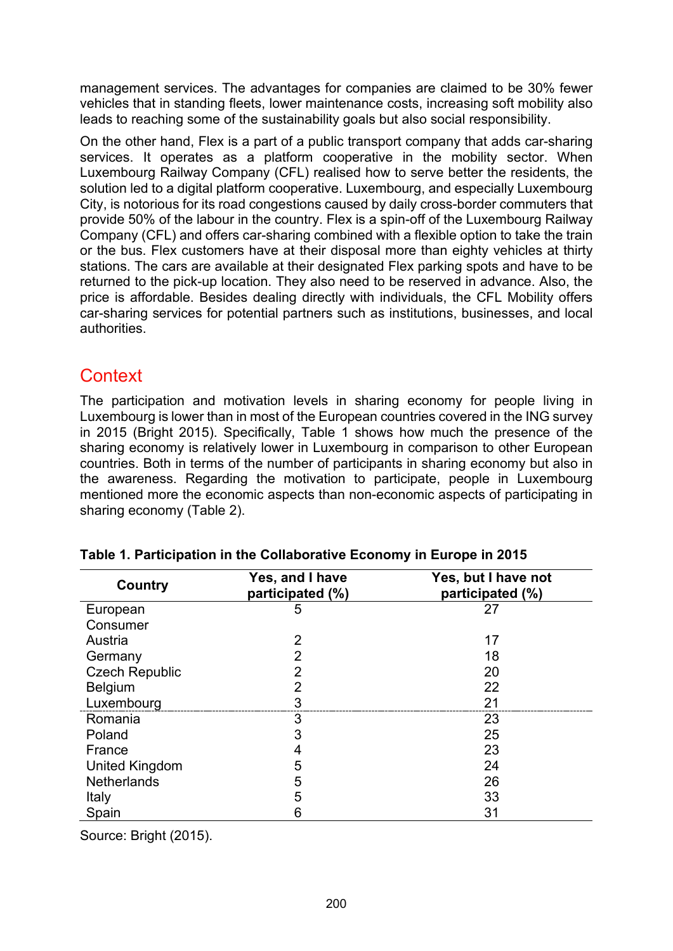management services. The advantages for companies are claimed to be 30% fewer vehicles that in standing fleets, lower maintenance costs, increasing soft mobility also leads to reaching some of the sustainability goals but also social responsibility.

On the other hand, Flex is a part of a public transport company that adds car-sharing services. It operates as a platform cooperative in the mobility sector. When Luxembourg Railway Company (CFL) realised how to serve better the residents, the solution led to a digital platform cooperative. Luxembourg, and especially Luxembourg City, is notorious for its road congestions caused by daily cross-border commuters that provide 50% of the labour in the country. Flex is a spin-off of the Luxembourg Railway Company (CFL) and offers car-sharing combined with a flexible option to take the train or the bus. Flex customers have at their disposal more than eighty vehicles at thirty stations. The cars are available at their designated Flex parking spots and have to be returned to the pick-up location. They also need to be reserved in advance. Also, the price is affordable. Besides dealing directly with individuals, the CFL Mobility offers car-sharing services for potential partners such as institutions, businesses, and local authorities.

### **Context**

The participation and motivation levels in sharing economy for people living in Luxembourg is lower than in most of the European countries covered in the ING survey in 2015 (Bright 2015). Specifically, Table 1 shows how much the presence of the sharing economy is relatively lower in Luxembourg in comparison to other European countries. Both in terms of the number of participants in sharing economy but also in the awareness. Regarding the motivation to participate, people in Luxembourg mentioned more the economic aspects than non-economic aspects of participating in sharing economy (Table 2).

| Country               | Yes, and I have<br>participated (%) | Yes, but I have not<br>participated (%) |
|-----------------------|-------------------------------------|-----------------------------------------|
| European              | 5                                   | 27                                      |
| Consumer              |                                     |                                         |
| Austria               | $\overline{2}$                      | 17                                      |
| Germany               | 2                                   | 18                                      |
| <b>Czech Republic</b> | 2                                   | 20                                      |
| <b>Belgium</b>        | 2                                   | 22                                      |
| Luxembourg            |                                     | 21                                      |
| Romania               | 3                                   | 23                                      |
| Poland                | 3                                   | 25                                      |
| France                |                                     | 23                                      |
| <b>United Kingdom</b> | 5                                   | 24                                      |
| <b>Netherlands</b>    | 5                                   | 26                                      |
| Italy                 | 5                                   | 33                                      |
| Spain                 | 6                                   | 31                                      |

Source: Bright (2015).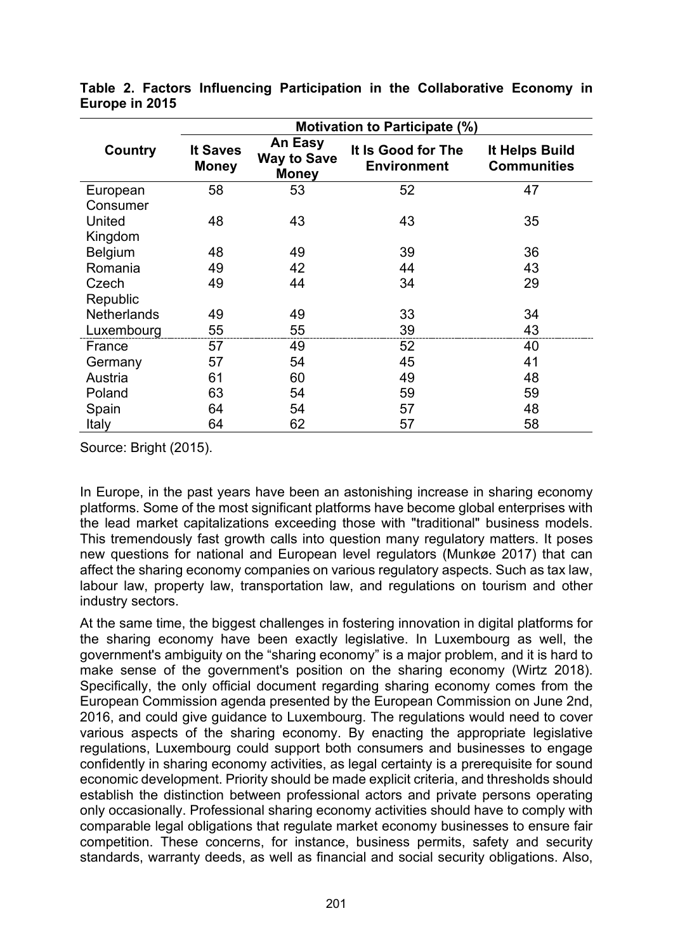|                    | <b>Motivation to Participate (%)</b> |                                               |                                          |                                      |
|--------------------|--------------------------------------|-----------------------------------------------|------------------------------------------|--------------------------------------|
| Country            | It Saves<br><b>Money</b>             | An Easy<br><b>Way to Save</b><br><b>Money</b> | It Is Good for The<br><b>Environment</b> | It Helps Build<br><b>Communities</b> |
| European           | 58                                   | 53                                            | 52                                       | 47                                   |
| Consumer           |                                      |                                               |                                          |                                      |
| United             | 48                                   | 43                                            | 43                                       | 35                                   |
| Kingdom            |                                      |                                               |                                          |                                      |
| <b>Belgium</b>     | 48                                   | 49                                            | 39                                       | 36                                   |
| Romania            | 49                                   | 42                                            | 44                                       | 43                                   |
| Czech              | 49                                   | 44                                            | 34                                       | 29                                   |
| Republic           |                                      |                                               |                                          |                                      |
| <b>Netherlands</b> | 49                                   | 49                                            | 33                                       | 34                                   |
| Luxembourg         | 55                                   | 55                                            | 39                                       | 43                                   |
| France             | 57                                   | 49                                            | 52                                       | 40                                   |
| Germany            | 57                                   | 54                                            | 45                                       | 41                                   |
| Austria            | 61                                   | 60                                            | 49                                       | 48                                   |
| Poland             | 63                                   | 54                                            | 59                                       | 59                                   |
| Spain              | 64                                   | 54                                            | 57                                       | 48                                   |
| Italy              | 64                                   | 62                                            | 57                                       | 58                                   |

**Table 2. Factors Influencing Participation in the Collaborative Economy in Europe in 2015**

Source: Bright (2015).

In Europe, in the past years have been an astonishing increase in sharing economy platforms. Some of the most significant platforms have become global enterprises with the lead market capitalizations exceeding those with "traditional" business models. This tremendously fast growth calls into question many regulatory matters. It poses new questions for national and European level regulators (Munkøe 2017) that can affect the sharing economy companies on various regulatory aspects. Such as tax law, labour law, property law, transportation law, and regulations on tourism and other industry sectors.

At the same time, the biggest challenges in fostering innovation in digital platforms for the sharing economy have been exactly legislative. In Luxembourg as well, the government's ambiguity on the "sharing economy" is a major problem, and it is hard to make sense of the government's position on the sharing economy (Wirtz 2018). Specifically, the only official document regarding sharing economy comes from the European Commission agenda presented by the European Commission on June 2nd, 2016, and could give guidance to Luxembourg. The regulations would need to cover various aspects of the sharing economy. By enacting the appropriate legislative regulations, Luxembourg could support both consumers and businesses to engage confidently in sharing economy activities, as legal certainty is a prerequisite for sound economic development. Priority should be made explicit criteria, and thresholds should establish the distinction between professional actors and private persons operating only occasionally. Professional sharing economy activities should have to comply with comparable legal obligations that regulate market economy businesses to ensure fair competition. These concerns, for instance, business permits, safety and security standards, warranty deeds, as well as financial and social security obligations. Also,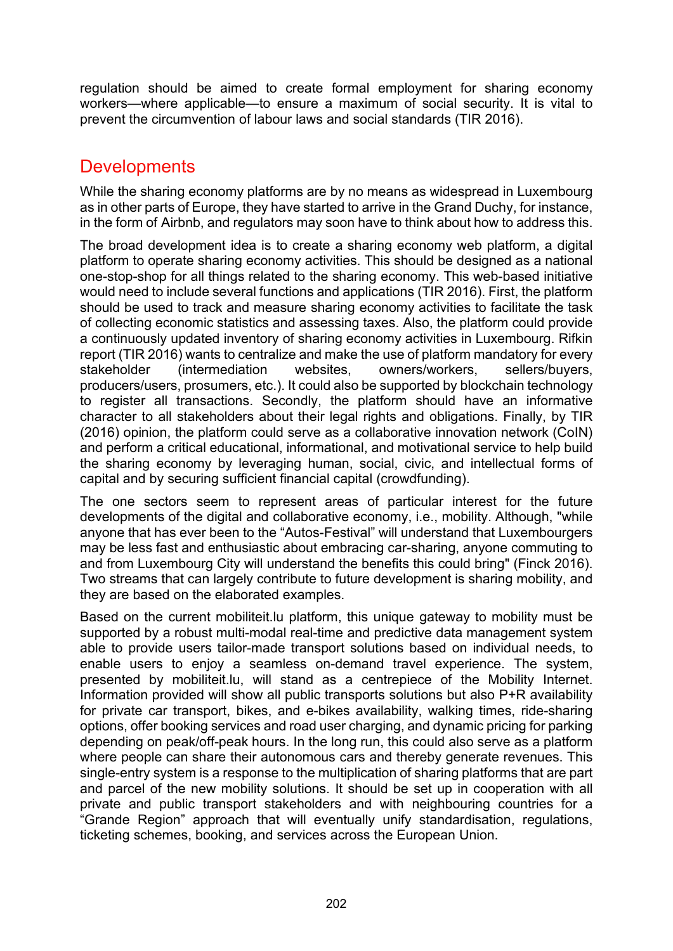regulation should be aimed to create formal employment for sharing economy workers—where applicable—to ensure a maximum of social security. It is vital to prevent the circumvention of labour laws and social standards (TIR 2016).

## **Developments**

While the sharing economy platforms are by no means as widespread in Luxembourg as in other parts of Europe, they have started to arrive in the Grand Duchy, for instance, in the form of [Airbnb,](https://www.airbnb.com/s/Luxembourghttps:/www.airbnb.com/s/Luxembourg) and regulators may soon have to think about how to address this.

The broad development idea is to create a sharing economy web platform, a digital platform to operate sharing economy activities. This should be designed as a national one-stop-shop for all things related to the sharing economy. This web-based initiative would need to include several functions and applications (TIR 2016). First, the platform should be used to track and measure sharing economy activities to facilitate the task of collecting economic statistics and assessing taxes. Also, the platform could provide a continuously updated inventory of sharing economy activities in Luxembourg. Rifkin report (TIR 2016) wants to centralize and make the use of platform mandatory for every stakeholder (intermediation websites, owners/workers, sellers/buyers, producers/users, prosumers, etc.). It could also be supported by blockchain technology to register all transactions. Secondly, the platform should have an informative character to all stakeholders about their legal rights and obligations. Finally, by TIR (2016) opinion, the platform could serve as a collaborative innovation network (CoIN) and perform a critical educational, informational, and motivational service to help build the sharing economy by leveraging human, social, civic, and intellectual forms of capital and by securing sufficient financial capital (crowdfunding).

The one sectors seem to represent areas of particular interest for the future developments of the digital and collaborative economy, i.e., mobility. Although, "while anyone that has ever been to the "Autos-Festival" will understand that Luxembourgers may be less fast and enthusiastic about embracing car-sharing, anyone commuting to and from Luxembourg City will understand the benefits this could bring" (Finck 2016). Two streams that can largely contribute to future development is sharing mobility, and they are based on the elaborated examples.

Based on the current mobiliteit.lu platform, this unique gateway to mobility must be supported by a robust multi-modal real-time and predictive data management system able to provide users tailor-made transport solutions based on individual needs, to enable users to enjoy a seamless on-demand travel experience. The system, presented by mobiliteit.lu, will stand as a centrepiece of the Mobility Internet. Information provided will show all public transports solutions but also P+R availability for private car transport, bikes, and e-bikes availability, walking times, ride-sharing options, offer booking services and road user charging, and dynamic pricing for parking depending on peak/off-peak hours. In the long run, this could also serve as a platform where people can share their autonomous cars and thereby generate revenues. This single-entry system is a response to the multiplication of sharing platforms that are part and parcel of the new mobility solutions. It should be set up in cooperation with all private and public transport stakeholders and with neighbouring countries for a "Grande Region" approach that will eventually unify standardisation, regulations, ticketing schemes, booking, and services across the European Union.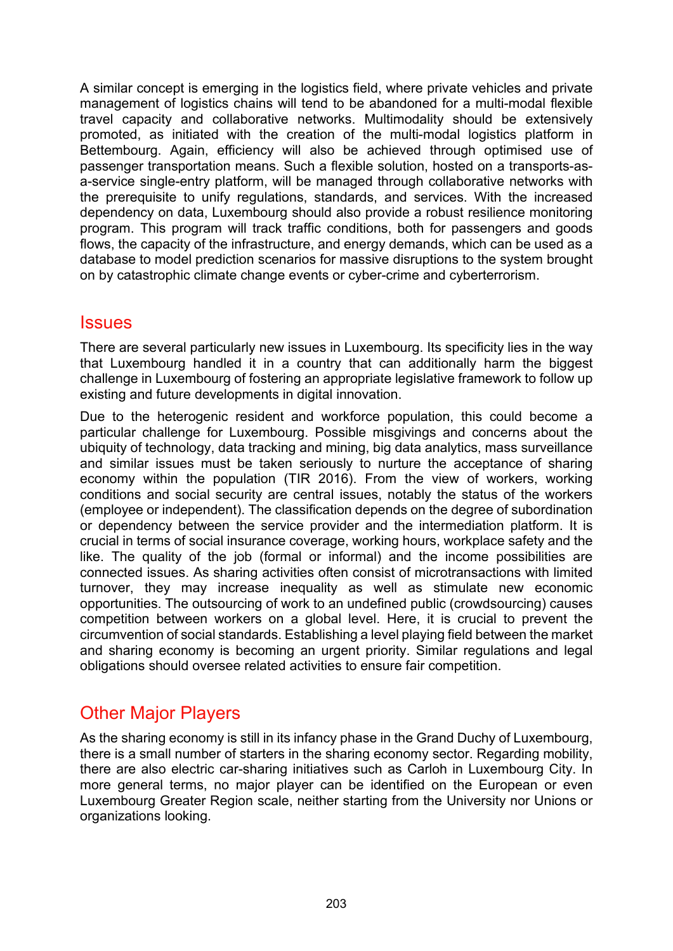A similar concept is emerging in the logistics field, where private vehicles and private management of logistics chains will tend to be abandoned for a multi-modal flexible travel capacity and collaborative networks. Multimodality should be extensively promoted, as initiated with the creation of the multi-modal logistics platform in Bettembourg. Again, efficiency will also be achieved through optimised use of passenger transportation means. Such a flexible solution, hosted on a transports-asa-service single-entry platform, will be managed through collaborative networks with the prerequisite to unify regulations, standards, and services. With the increased dependency on data, Luxembourg should also provide a robust resilience monitoring program. This program will track traffic conditions, both for passengers and goods flows, the capacity of the infrastructure, and energy demands, which can be used as a database to model prediction scenarios for massive disruptions to the system brought on by catastrophic climate change events or cyber-crime and cyberterrorism.

#### **Issues**

There are several particularly new issues in Luxembourg. Its specificity lies in the way that Luxembourg handled it in a country that can additionally harm the biggest challenge in Luxembourg of fostering an appropriate legislative framework to follow up existing and future developments in digital innovation.

Due to the heterogenic resident and workforce population, this could become a particular challenge for Luxembourg. Possible misgivings and concerns about the ubiquity of technology, data tracking and mining, big data analytics, mass surveillance and similar issues must be taken seriously to nurture the acceptance of sharing economy within the population (TIR 2016). From the view of workers, working conditions and social security are central issues, notably the status of the workers (employee or independent). The classification depends on the degree of subordination or dependency between the service provider and the intermediation platform. It is crucial in terms of social insurance coverage, working hours, workplace safety and the like. The quality of the job (formal or informal) and the income possibilities are connected issues. As sharing activities often consist of microtransactions with limited turnover, they may increase inequality as well as stimulate new economic opportunities. The outsourcing of work to an undefined public (crowdsourcing) causes competition between workers on a global level. Here, it is crucial to prevent the circumvention of social standards. Establishing a level playing field between the market and sharing economy is becoming an urgent priority. Similar regulations and legal obligations should oversee related activities to ensure fair competition.

## Other Major Players

As the sharing economy is still in its infancy phase in the Grand Duchy of Luxembourg, there is a small number of starters in the sharing economy sector. Regarding mobility, there are also electric car-sharing initiatives such as Carloh in Luxembourg City. In more general terms, no major player can be identified on the European or even Luxembourg Greater Region scale, neither starting from the University nor Unions or organizations looking.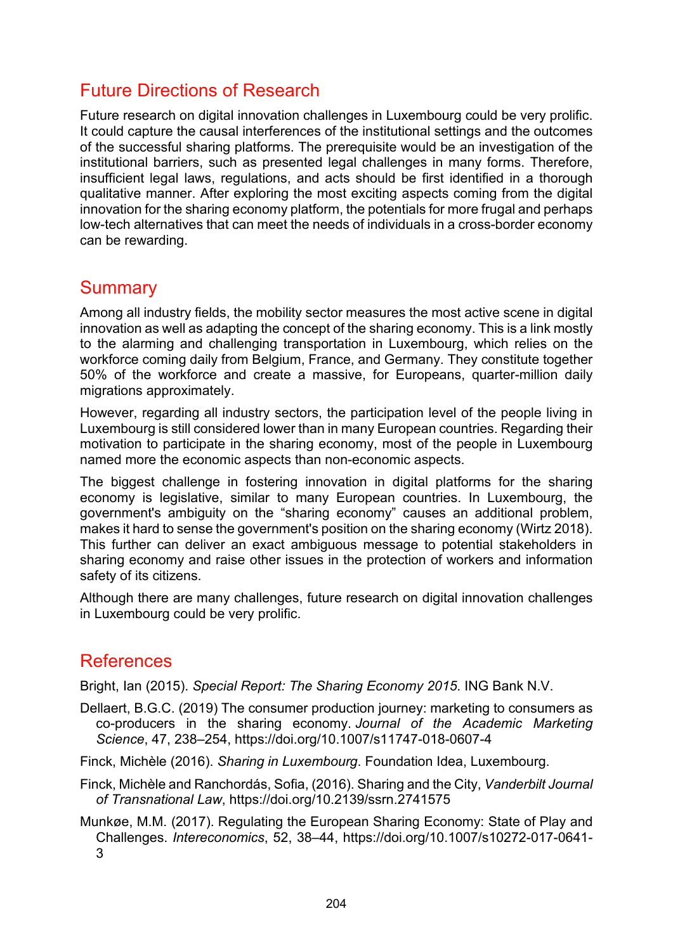### Future Directions of Research

Future research on digital innovation challenges in Luxembourg could be very prolific. It could capture the causal interferences of the institutional settings and the outcomes of the successful sharing platforms. The prerequisite would be an investigation of the institutional barriers, such as presented legal challenges in many forms. Therefore, insufficient legal laws, regulations, and acts should be first identified in a thorough qualitative manner. After exploring the most exciting aspects coming from the digital innovation for the sharing economy platform, the potentials for more frugal and perhaps low-tech alternatives that can meet the needs of individuals in a cross-border economy can be rewarding.

#### **Summary**

Among all industry fields, the mobility sector measures the most active scene in digital innovation as well as adapting the concept of the sharing economy. This is a link mostly to the alarming and challenging transportation in Luxembourg, which relies on the workforce coming daily from Belgium, France, and Germany. They constitute together 50% of the workforce and create a massive, for Europeans, quarter-million daily migrations approximately.

However, regarding all industry sectors, the participation level of the people living in Luxembourg is still considered lower than in many European countries. Regarding their motivation to participate in the sharing economy, most of the people in Luxembourg named more the economic aspects than non-economic aspects.

The biggest challenge in fostering innovation in digital platforms for the sharing economy is legislative, similar to many European countries. In Luxembourg, the government's ambiguity on the "sharing economy" causes an additional problem, makes it hard to sense the government's position on the sharing economy (Wirtz 2018). This further can deliver an exact ambiguous message to potential stakeholders in sharing economy and raise other issues in the protection of workers and information safety of its citizens.

Although there are many challenges, future research on digital innovation challenges in Luxembourg could be very prolific.

#### References

Bright, Ian (2015). *Special Report: The Sharing Economy 2015*. ING Bank N.V.

- Dellaert, B.G.C. (2019) The consumer production journey: marketing to consumers as co-producers in the sharing economy. *Journal of the Academic Marketing Science*, 47, 238–254, https://doi.org/10.1007/s11747-018-0607-4
- Finck, Michèle (2016). *Sharing in Luxembourg*. Foundation Idea, Luxembourg.
- Finck, Michèle and Ranchordás, Sofia, (2016). Sharing and the City, *Vanderbilt Journal of Transnational Law*, https://doi.org/10.2139/ssrn.2741575
- Munkøe, M.M. (2017). Regulating the European Sharing Economy: State of Play and Challenges. *Intereconomics*, 52, 38–44, https://doi.org/10.1007/s10272-017-0641- 3